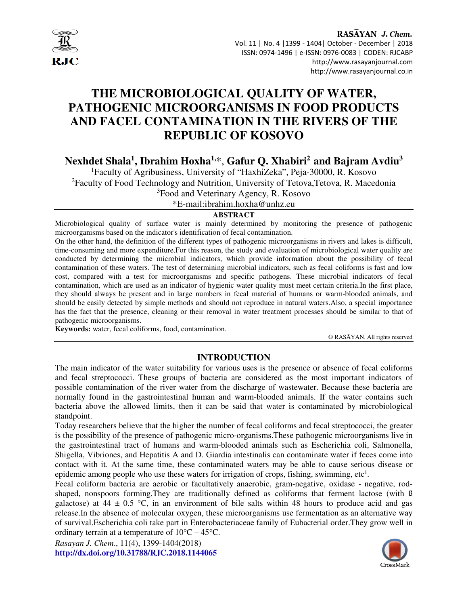

#### RASAYAN J. Chem. Vol. 11 | No. 4 |1399 - 1404| October - December | 2018 ISSN: 0974-1496 | e-ISSN: 0976-0083 | CODEN: RJCABP http://www.rasayanjournal.com http://www.rasayanjournal.co.in

# **THE MICROBIOLOGICAL QUALITY OF WATER, PATHOGENIC MICROORGANISMS IN FOOD PRODUCTS AND FACEL CONTAMINATION IN THE RIVERS OF THE REPUBLIC OF KOSOVO**

**Nexhdet Shala<sup>1</sup> , Ibrahim Hoxha1,**\*, **Gafur Q. Xhabiri<sup>2</sup>and Bajram Avdiu<sup>3</sup>**

<sup>1</sup>Faculty of Agribusiness, University of "HaxhiZeka", Peja-30000, R. Kosovo <sup>2</sup>Faculty of Food Technology and Nutrition, University of Tetova,Tetova, R. Macedonia <sup>3</sup>Food and Veterinary Agency, R. Kosovo

\*E-mail:ibrahim.hoxha@unhz.eu

## **ABSTRACT**

Microbiological quality of surface water is mainly determined by monitoring the presence of pathogenic microorganisms based on the indicator's identification of fecal contamination.

On the other hand, the definition of the different types of pathogenic microorganisms in rivers and lakes is difficult, time-consuming and more expenditure.For this reason, the study and evaluation of microbiological water quality are conducted by determining the microbial indicators, which provide information about the possibility of fecal contamination of these waters. The test of determining microbial indicators, such as fecal coliforms is fast and low cost, compared with a test for microorganisms and specific pathogens. These microbial indicators of fecal contamination, which are used as an indicator of hygienic water quality must meet certain criteria.In the first place, they should always be present and in large numbers in fecal material of humans or warm-blooded animals, and should be easily detected by simple methods and should not reproduce in natural waters.Also, a special importance has the fact that the presence, cleaning or their removal in water treatment processes should be similar to that of pathogenic microorganisms.

**Keywords:** water, fecal coliforms, food, contamination.

© RASĀYAN. All rights reserved

# **INTRODUCTION**

The main indicator of the water suitability for various uses is the presence or absence of fecal coliforms and fecal streptococci. These groups of bacteria are considered as the most important indicators of possible contamination of the river water from the discharge of wastewater. Because these bacteria are normally found in the gastrointestinal human and warm-blooded animals. If the water contains such bacteria above the allowed limits, then it can be said that water is contaminated by microbiological standpoint.

Today researchers believe that the higher the number of fecal coliforms and fecal streptococci, the greater is the possibility of the presence of pathogenic micro-organisms.These pathogenic microorganisms live in the gastrointestinal tract of humans and warm-blooded animals such as Escherichia coli, Salmonella, Shigella, Vibriones, and Hepatitis A and D. Giardia intestinalis can contaminate water if feces come into contact with it. At the same time, these contaminated waters may be able to cause serious disease or epidemic among people who use these waters for irrigation of crops, fishing, swimming, etc<sup>1</sup>.

Fecal coliform bacteria are aerobic or facultatively anaerobic, gram-negative, oxidase - negative, rodshaped, nonspoors forming.They are traditionally defined as coliforms that ferment lactose (with ß galactose) at  $44 \pm 0.5$  °C, in an environment of bile salts within 48 hours to produce acid and gas release.In the absence of molecular oxygen, these microorganisms use fermentation as an alternative way of survival.Escherichia coli take part in Enterobacteriaceae family of Eubacterial order.They grow well in ordinary terrain at a temperature of 10°C – 45°C.

*Rasayan J. Chem*., 11(4), 1399-1404(2018) **http://dx.doi.org/10.31788/RJC.2018.1144065**

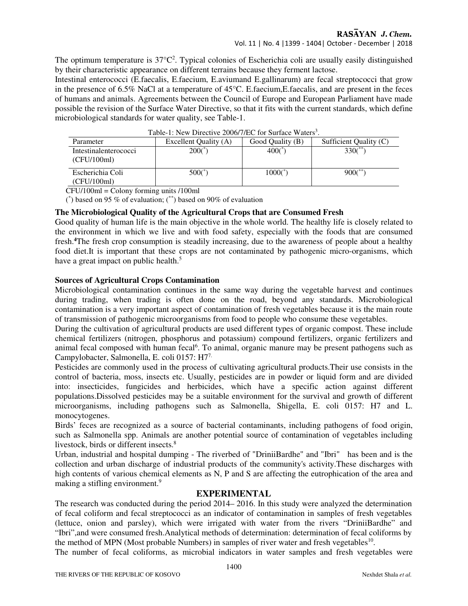#### RASAYAN J. Chem.

The optimum temperature is  $37^{\circ}C^2$ . Typical colonies of Escherichia coli are usually easily distinguished by their characteristic appearance on different terrains because they ferment lactose.

Intestinal enterococci (E.faecalis, E.faecium, E.aviumand E.gallinarum) are fecal streptococci that grow in the presence of 6.5% NaCl at a temperature of 45°C. E.faecium,E.faecalis, and are present in the feces of humans and animals. Agreements between the Council of Europe and European Parliament have made possible the revision of the Surface Water Directive, so that it fits with the current standards, which define microbiological standards for water quality, see Table-1.

| Table-1: New Directive 2000/7/EC for Surface waters. |                       |                       |                        |  |  |  |  |
|------------------------------------------------------|-----------------------|-----------------------|------------------------|--|--|--|--|
| Parameter                                            | Excellent Quality (A) | Good Quality (B)      | Sufficient Quality (C) |  |  |  |  |
| Intestinalenterococci<br>(CFU/100ml)                 | $200$ <sup>*</sup> )  | $400($ *              | $330($ **              |  |  |  |  |
| Escherichia Coli<br>(CFU/100ml)                      | $500$ (*)             | $1000$ <sup>*</sup> ) | $900$ <sup>**</sup>    |  |  |  |  |

|  |  | Table-1: New Directive 2006/7/EC for Surface Waters <sup>3</sup> . |  |  |
|--|--|--------------------------------------------------------------------|--|--|
|--|--|--------------------------------------------------------------------|--|--|

CFU/100ml = Colony forming units /100ml

(\*) based on 95 % of evaluation; (\*\*) based on 90% of evaluation

### **The Microbiological Quality of the Agricultural Crops that are Consumed Fresh**

Good quality of human life is the main objective in the whole world. The healthy life is closely related to the environment in which we live and with food safety, especially with the foods that are consumed fresh.**<sup>4</sup>**The fresh crop consumption is steadily increasing, due to the awareness of people about a healthy food diet.It is important that these crops are not contaminated by pathogenic micro-organisms, which have a great impact on public health.<sup>5</sup>

#### **Sources of Agricultural Crops Contamination**

Microbiological contamination continues in the same way during the vegetable harvest and continues during trading, when trading is often done on the road, beyond any standards. Microbiological contamination is a very important aspect of contamination of fresh vegetables because it is the main route of transmission of pathogenic microorganisms from food to people who consume these vegetables.

During the cultivation of agricultural products are used different types of organic compost. These include chemical fertilizers (nitrogen, phosphorus and potassium) compound fertilizers, organic fertilizers and animal fecal composed with human fecal<sup>6</sup>. To animal, organic manure may be present pathogens such as Campylobacter, Salmonella, E. coli 0157: H77.

Pesticides are commonly used in the process of cultivating agricultural products.Their use consists in the control of bacteria, moss, insects etc. Usually, pesticides are in powder or liquid form and are divided into: insecticides, fungicides and herbicides, which have a specific action against different populations.Dissolved pesticides may be a suitable environment for the survival and growth of different microorganisms, including pathogens such as Salmonella, Shigella, E. coli 0157: H7 and L. monocytogenes.

Birds' feces are recognized as a source of bacterial contaminants, including pathogens of food origin, such as Salmonella spp. Animals are another potential source of contamination of vegetables including livestock, birds or different insects.<sup>8</sup>

Urban, industrial and hospital dumping - The riverbed of "DriniiBardhe" and "Ibri" has been and is the collection and urban discharge of industrial products of the community's activity.These discharges with high contents of various chemical elements as N, P and S are affecting the eutrophication of the area and making a stifling environment.<sup>9</sup>

#### **EXPERIMENTAL**

The research was conducted during the period 2014– 2016. In this study were analyzed the determination of fecal coliform and fecal streptococci as an indicator of contamination in samples of fresh vegetables (lettuce, onion and parsley), which were irrigated with water from the rivers "DriniiBardhe" and "Ibri",and were consumed fresh.Analytical methods of determination: determination of fecal coliforms by the method of MPN (Most probable Numbers) in samples of river water and fresh vegetables<sup>10</sup>.

The number of fecal coliforms, as microbial indicators in water samples and fresh vegetables were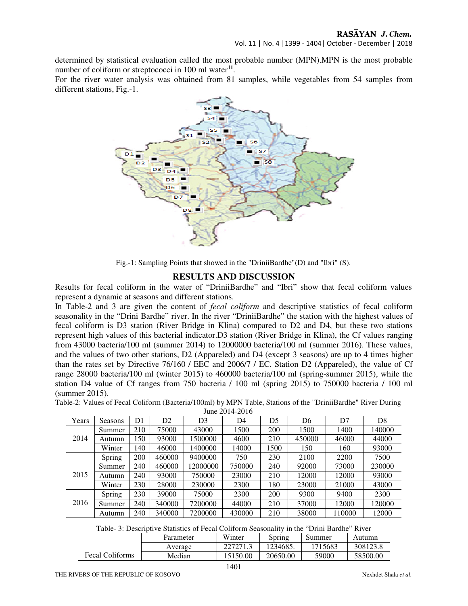determined by statistical evaluation called the most probable number (MPN).MPN is the most probable number of coliform or streptococci in 100 ml water**<sup>11</sup>** .

For the river water analysis was obtained from 81 samples, while vegetables from 54 samples from different stations, Fig.-1.



Fig.-1: Sampling Points that showed in the "DriniiBardhe"(D) and "Ibri" (S).

#### **RESULTS AND DISCUSSION**

Results for fecal coliform in the water of "DriniiBardhe" and "Ibri" show that fecal coliform values represent a dynamic at seasons and different stations.

In Table-2 and 3 are given the content of *fecal coliform* and descriptive statistics of fecal coliform seasonality in the "Drini Bardhe" river. In the river "DriniiBardhe" the station with the highest values of fecal coliform is D3 station (River Bridge in Klina) compared to D2 and D4, but these two stations represent high values of this bacterial indicator.D3 station (River Bridge in Klina), the Cf values ranging from 43000 bacteria/100 ml (summer 2014) to 12000000 bacteria/100 ml (summer 2016). These values, and the values of two other stations, D2 (Appareled) and D4 (except 3 seasons) are up to 4 times higher than the rates set by Directive 76/160 / EEC and 2006/7 / EC. Station D2 (Appareled), the value of Cf range 28000 bacteria/100 ml (winter 2015) to 460000 bacteria/100 ml (spring-summer 2015), while the station D4 value of Cf ranges from 750 bacteria / 100 ml (spring 2015) to 750000 bacteria / 100 ml (summer 2015).

| Table-2: Values of Fecal Coliform (Bacteria/100ml) by MPN Table, Stations of the "DriniiBardhe" River During |  |
|--------------------------------------------------------------------------------------------------------------|--|
| $\frac{1}{2}$ and $\frac{1}{4}$ and $\frac{1}{4}$                                                            |  |

| June 2014-2016 |               |     |                |          |        |            |        |        |                |
|----------------|---------------|-----|----------------|----------|--------|------------|--------|--------|----------------|
| Years          | Seasons       | D1  | D <sub>2</sub> | D3       | D4     | D5         | D6     | D7     | D <sub>8</sub> |
|                | Summer        | 210 | 75000          | 43000    | 1500   | 200        | 1500   | 1400   | 140000         |
| 2014           | Autumn        | 150 | 93000          | 1500000  | 4600   | 210        | 450000 | 46000  | 44000          |
|                | Winter        | 140 | 46000          | 1400000  | 14000  | 1500       | 150    | 160    | 93000          |
|                | Spring        | 200 | 460000         | 9400000  | 750    | 230        | 2100   | 2200   | 7500           |
|                | Summer        | 240 | 460000         | 12000000 | 750000 | 240        | 92000  | 73000  | 230000         |
| 2015           | Autumn        | 240 | 93000          | 750000   | 23000  | 210        | 12000  | 12000  | 93000          |
|                | Winter        | 230 | 28000          | 230000   | 2300   | 180        | 23000  | 21000  | 43000          |
|                | <b>Spring</b> | 230 | 39000          | 75000    | 2300   | <b>200</b> | 9300   | 9400   | 2300           |
| 2016           | Summer        | 240 | 340000         | 7200000  | 44000  | 210        | 37000  | 12000  | 120000         |
|                | Autumn        | 240 | 340000         | 7200000  | 430000 | 210        | 38000  | 110000 | 12000          |

|  | Table- 3: Descriptive Statistics of Fecal Coliform Seasonality in the "Drini Bardhe" River |
|--|--------------------------------------------------------------------------------------------|
|--|--------------------------------------------------------------------------------------------|

|                        | Parameter | Winter   | Spring   | Summer  | Autumn   |
|------------------------|-----------|----------|----------|---------|----------|
|                        | Average   | 227271.3 | 1234685. | 1715683 | 308123.8 |
| <b>Fecal Coliforms</b> | Median    | 15150.00 | 20650.00 | 59000   | 58500.00 |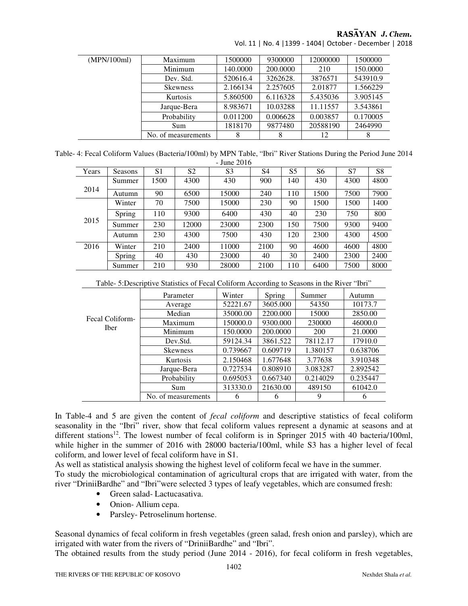## RASAYAN J. Chem.

| (MPN/100ml) | Maximum             | 1500000  | 9300000  | 12000000 | 1500000  |
|-------------|---------------------|----------|----------|----------|----------|
|             | Minimum             | 140.0000 | 200.0000 | 210      | 150,0000 |
|             | Dev. Std.           | 520616.4 | 3262628. | 3876571  | 543910.9 |
|             | <b>Skewness</b>     | 2.166134 | 2.257605 | 2.01877  | 1.566229 |
|             | Kurtosis            | 5.860500 | 6.116328 | 5.435036 | 3.905145 |
|             | Jarque-Bera         | 8.983671 | 10.03288 | 11.11557 | 3.543861 |
|             | Probability         | 0.011200 | 0.006628 | 0.003857 | 0.170005 |
|             | Sum                 | 1818170  | 9877480  | 20588190 | 2464990  |
|             | No. of measurements |          | 8        | 12       | 8        |

Vol. 11 | No. 4 |1399 - 1404| October - December | 2018

Table- 4: Fecal Coliform Values (Bacteria/100ml) by MPN Table, "Ibri" River Stations During the Period June 2014 - June 2016

| Years | <b>Seasons</b> | S <sub>1</sub> | S <sub>2</sub> | S <sub>3</sub> | S4   | S <sub>5</sub> | S6   | S7   | S8   |
|-------|----------------|----------------|----------------|----------------|------|----------------|------|------|------|
| 2014  | Summer         | 1500           | 4300           | 430            | 900  | 140            | 430  | 4300 | 4800 |
|       | Autumn         | 90             | 6500           | 15000          | 240  | 110            | 1500 | 7500 | 7900 |
| 2015  | Winter         | 70             | 7500           | 15000          | 230  | 90             | 1500 | 1500 | 1400 |
|       | Spring         | 110            | 9300           | 6400           | 430  | 40             | 230  | 750  | 800  |
|       | Summer         | 230            | 12000          | 23000          | 2300 | 150            | 7500 | 9300 | 9400 |
|       | Autumn         | 230            | 4300           | 7500           | 430  | 120            | 2300 | 4300 | 4500 |
| 2016  | Winter         | 210            | 2400           | 11000          | 2100 | 90             | 4600 | 4600 | 4800 |
|       | Spring         | 40             | 430            | 23000          | 40   | 30             | 2400 | 2300 | 2400 |
|       | Summer         | 210            | 930            | 28000          | 2100 | 110            | 6400 | 7500 | 8000 |

| Table- 5: Descriptive Statistics of Fecal Coliform According to Seasons in the River "Ibri" |
|---------------------------------------------------------------------------------------------|
|                                                                                             |

|                                | Parameter           | Winter   | Spring   | Summer   | Autumn   |
|--------------------------------|---------------------|----------|----------|----------|----------|
|                                | Average             | 52221.67 | 3605.000 | 54350    | 10173.7  |
|                                | Median              | 35000.00 | 2200.000 | 15000    | 2850.00  |
| Fecal Coliform-<br><b>Iber</b> | Maximum             | 150000.0 | 9300.000 | 230000   | 46000.0  |
|                                | Minimum             | 150.0000 | 200,0000 | 200      | 21.0000  |
|                                | Dev.Std.            | 59124.34 | 3861.522 | 78112.17 | 17910.0  |
|                                | <b>Skewness</b>     | 0.739667 | 0.609719 | 1.380157 | 0.638706 |
|                                | <b>Kurtosis</b>     | 2.150468 | 1.677648 | 3.77638  | 3.910348 |
|                                | Jarque-Bera         | 0.727534 | 0.808910 | 3.083287 | 2.892542 |
|                                | Probability         | 0.695053 | 0.667340 | 0.214029 | 0.235447 |
|                                | Sum                 | 313330.0 | 21630.00 | 489150   | 61042.0  |
|                                | No. of measurements | 6        | 6        | 9        | 6        |

In Table-4 and 5 are given the content of *fecal coliform* and descriptive statistics of fecal coliform seasonality in the "Ibri" river, show that fecal coliform values represent a dynamic at seasons and at different stations<sup>12</sup>. The lowest number of fecal coliform is in Springer 2015 with 40 bacteria/100ml, while higher in the summer of 2016 with 28000 bacteria/100ml, while S3 has a higher level of fecal coliform, and lower level of fecal coliform have in S1.

As well as statistical analysis showing the highest level of coliform fecal we have in the summer. To study the microbiological contamination of agricultural crops that are irrigated with water, from the river "DriniiBardhe" and "Ibri"were selected 3 types of leafy vegetables, which are consumed fresh:

- Green salad- Lactucasativa.
- Onion- Allium cepa.
- Parsley-Petroselinum hortense.

Seasonal dynamics of fecal coliform in fresh vegetables (green salad, fresh onion and parsley), which are irrigated with water from the rivers of "DriniiBardhe" and "Ibri".

The obtained results from the study period (June 2014 - 2016), for fecal coliform in fresh vegetables,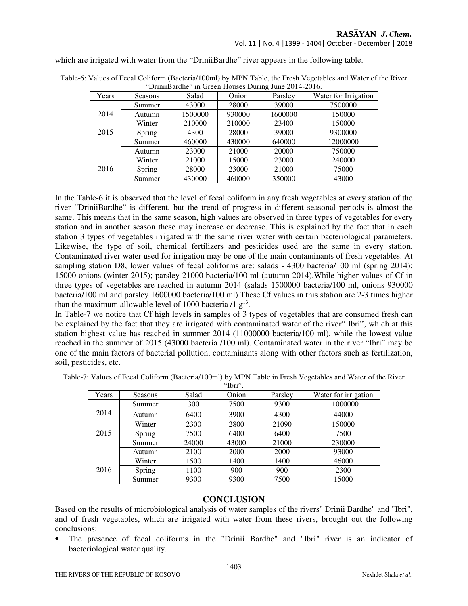Vol. 11 | No. 4 |1399 - 1404| October - December | 2018

which are irrigated with water from the "DriniiBardhe" river appears in the following table.

| Years | Seasons | Salad   | Onion  | Parsley | Water for Irrigation |
|-------|---------|---------|--------|---------|----------------------|
|       | Summer  | 43000   | 28000  | 39000   | 7500000              |
| 2014  | Autumn  | 1500000 | 930000 | 1600000 | 150000               |
|       | Winter  | 210000  | 210000 | 23400   | 150000               |
| 2015  | Spring  | 4300    | 28000  | 39000   | 9300000              |
|       | Summer  | 460000  | 430000 | 640000  | 12000000             |
|       | Autumn  | 23000   | 21000  | 20000   | 750000               |
|       | Winter  | 21000   | 15000  | 23000   | 240000               |
| 2016  | Spring  | 28000   | 23000  | 21000   | 75000                |
|       | Summer  | 430000  | 460000 | 350000  | 43000                |

Table-6: Values of Fecal Coliform (Bacteria/100ml) by MPN Table, the Fresh Vegetables and Water of the River "DriniiBardhe" in Green Houses During June 2014-2016.

In the Table-6 it is observed that the level of fecal coliform in any fresh vegetables at every station of the river "DriniiBardhe" is different, but the trend of progress in different seasonal periods is almost the same. This means that in the same season, high values are observed in three types of vegetables for every station and in another season these may increase or decrease. This is explained by the fact that in each station 3 types of vegetables irrigated with the same river water with certain bacteriological parameters. Likewise, the type of soil, chemical fertilizers and pesticides used are the same in every station. Contaminated river water used for irrigation may be one of the main contaminants of fresh vegetables. At sampling station D8, lower values of fecal coliforms are: salads - 4300 bacteria/100 ml (spring 2014); 15000 onions (winter 2015); parsley 21000 bacteria/100 ml (autumn 2014).While higher values of Cf in three types of vegetables are reached in autumn 2014 (salads 1500000 bacteria/100 ml, onions 930000 bacteria/100 ml and parsley 1600000 bacteria/100 ml).These Cf values in this station are 2-3 times higher than the maximum allowable level of 1000 bacteria  $/1$   $g<sup>13</sup>$ .

In Table-7 we notice that Cf high levels in samples of 3 types of vegetables that are consumed fresh can be explained by the fact that they are irrigated with contaminated water of the river" Ibri", which at this station highest value has reached in summer 2014 (11000000 bacteria/100 ml), while the lowest value reached in the summer of 2015 (43000 bacteria /100 ml). Contaminated water in the river "Ibri" may be one of the main factors of bacterial pollution, contaminants along with other factors such as fertilization, soil, pesticides, etc.

|       |         |       | 1011. |         |                      |
|-------|---------|-------|-------|---------|----------------------|
| Years | Seasons | Salad | Onion | Parsley | Water for irrigation |
|       | Summer  | 300   | 7500  | 9300    | 11000000             |
| 2014  | Autumn  | 6400  | 3900  | 4300    | 44000                |
|       | Winter  | 2300  | 2800  | 21090   | 150000               |
| 2015  | Spring  | 7500  | 6400  | 6400    | 7500                 |
|       | Summer  | 24000 | 43000 | 21000   | 230000               |
|       | Autumn  | 2100  | 2000  | 2000    | 93000                |
|       | Winter  | 1500  | 1400  | 1400    | 46000                |
| 2016  | Spring  | 1100  | 900   | 900     | 2300                 |
|       | Summer  | 9300  | 9300  | 7500    | 15000                |

Table-7: Values of Fecal Coliform (Bacteria/100ml) by MPN Table in Fresh Vegetables and Water of the River "Ibri".

#### **CONCLUSION**

Based on the results of microbiological analysis of water samples of the rivers" Drinii Bardhe" and "Ibri", and of fresh vegetables, which are irrigated with water from these rivers, brought out the following conclusions:

• The presence of fecal coliforms in the "Drinii Bardhe" and "Ibri" river is an indicator of bacteriological water quality.